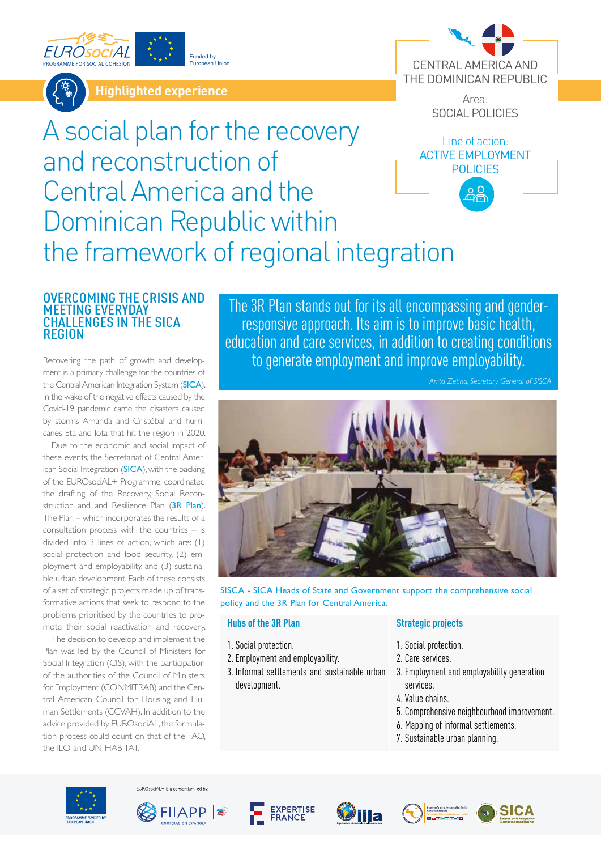



**Highlighted experience**

Funded by European Union



Area: SOCIAL POLICIES

Line of action:

**POLICIES** 

# A social plan for the recovery and reconstruction of Central America and the Dominican Republic within the framework of regional integration ACTIVE EMPLOYMENT

### OVERCOMING THE CRISIS AND MEETING EVERYDAY CHALLENGES IN THE SICA REGION

Recovering the path of growth and development is a primary challenge for the countries of the Central American Integration System ([SICA](https://www.sica.int/)). In the wake of the negative effects caused by the Covid-19 pandemic came the disasters caused by storms Amanda and Cristóbal and hurricanes Eta and Iota that hit the region in 2020.

Due to the economic and social impact of these events, the Secretariat of Central American Social Integration ([SICA](https://www.sica.int/)), with the backing of the EUROsociAL+ Programme, coordinated the drafting of the Recovery, Social Recon-struction and and Resilience Plan ([3R](https://eurosocial.eu/eurosocial-tv/plan-para-la-recuperacion-reconstruccion-social-y-resiliencia-de-centroamerica-y-republica-dominicana/) Plan). The Plan – which incorporates the results of a consultation process with the countries – is divided into 3 lines of action, which are: (1) social protection and food security, (2) employment and employability, and (3) sustainable urban development. Each of these consists of a set of strategic projects made up of transformative actions that seek to respond to the problems prioritised by the countries to promote their social reactivation and recovery.

The decision to develop and implement the Plan was led by the Council of Ministers for Social Integration (CIS), with the participation of the authorities of the Council of Ministers for Employment (CONMITRAB) and the Central American Council for Housing and Human Settlements (CCVAH). In addition to the advice provided by EUROsociAL, the formulation process could count on that of the FAO, the ILO and UN-HABITAT.

The 3R Plan stands out for its all encompassing and genderresponsive approach. Its aim is to improve basic health, education and care services, in addition to creating conditions to generate employment and improve employability.



SISCA - SICA Heads of State and Government support the comprehensive social policy and the 3R Plan for Central America.

#### **Hubs of the 3R Plan**

- 1. Social protection.
- 2. Employment and employability.
- 3. Informal settlements and sustainable urban development.

#### **Strategic projects**

- 1. Social protection.
- 2. Care services.
- 3. Employment and employability generation services.
- 4. Value chains.
- 5. Comprehensive neighbourhood improvement.
- 6. Mapping of informal settlements.
- 7. Sustainable urban planning.